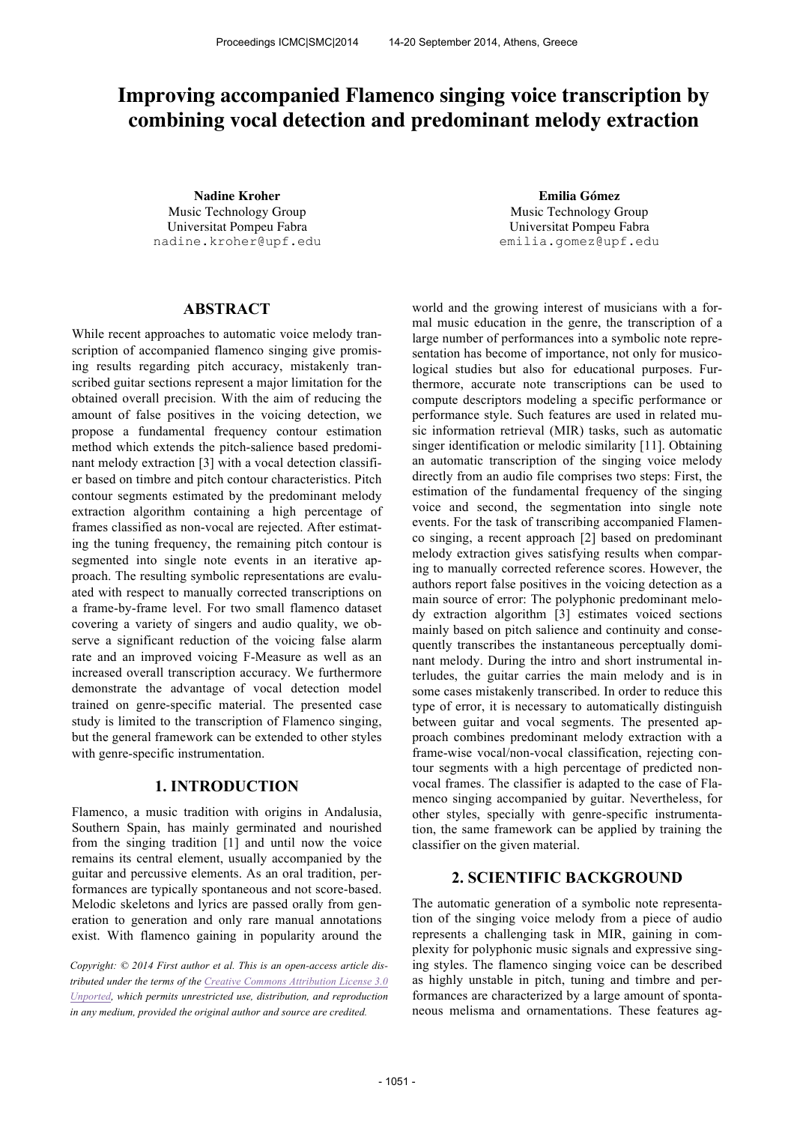# **Improving accompanied Flamenco singing voice transcription by combining vocal detection and predominant melody extraction**

**Nadine Kroher Emilia Gómez** Music Technology Group Universitat Pompeu Fabra nadine.kroher@upf.edu

Music Technology Group Universitat Pompeu Fabra emilia.gomez@upf.edu

# **ABSTRACT**

While recent approaches to automatic voice melody transcription of accompanied flamenco singing give promising results regarding pitch accuracy, mistakenly transcribed guitar sections represent a major limitation for the obtained overall precision. With the aim of reducing the amount of false positives in the voicing detection, we propose a fundamental frequency contour estimation method which extends the pitch-salience based predominant melody extraction [3] with a vocal detection classifier based on timbre and pitch contour characteristics. Pitch contour segments estimated by the predominant melody extraction algorithm containing a high percentage of frames classified as non-vocal are rejected. After estimating the tuning frequency, the remaining pitch contour is segmented into single note events in an iterative approach. The resulting symbolic representations are evaluated with respect to manually corrected transcriptions on a frame-by-frame level. For two small flamenco dataset covering a variety of singers and audio quality, we observe a significant reduction of the voicing false alarm rate and an improved voicing F-Measure as well as an increased overall transcription accuracy. We furthermore demonstrate the advantage of vocal detection model trained on genre-specific material. The presented case study is limited to the transcription of Flamenco singing, but the general framework can be extended to other styles with genre-specific instrumentation.

# **1. INTRODUCTION**

Flamenco, a music tradition with origins in Andalusia, Southern Spain, has mainly germinated and nourished from the singing tradition [1] and until now the voice remains its central element, usually accompanied by the guitar and percussive elements. As an oral tradition, performances are typically spontaneous and not score-based. Melodic skeletons and lyrics are passed orally from generation to generation and only rare manual annotations exist. With flamenco gaining in popularity around the

*Copyright: © 2014 First author et al. This is an open-access article distributed under the terms of the Creative Commons Attribution License 3.0 Unported, which permits unrestricted use, distribution, and reproduction in any medium, provided the original author and source are credited.*

world and the growing interest of musicians with a formal music education in the genre, the transcription of a large number of performances into a symbolic note representation has become of importance, not only for musicological studies but also for educational purposes. Furthermore, accurate note transcriptions can be used to compute descriptors modeling a specific performance or performance style. Such features are used in related music information retrieval (MIR) tasks, such as automatic singer identification or melodic similarity [11]. Obtaining an automatic transcription of the singing voice melody directly from an audio file comprises two steps: First, the estimation of the fundamental frequency of the singing voice and second, the segmentation into single note events. For the task of transcribing accompanied Flamenco singing, a recent approach [2] based on predominant melody extraction gives satisfying results when comparing to manually corrected reference scores. However, the authors report false positives in the voicing detection as a main source of error: The polyphonic predominant melody extraction algorithm [3] estimates voiced sections mainly based on pitch salience and continuity and consequently transcribes the instantaneous perceptually dominant melody. During the intro and short instrumental interludes, the guitar carries the main melody and is in some cases mistakenly transcribed. In order to reduce this type of error, it is necessary to automatically distinguish between guitar and vocal segments. The presented approach combines predominant melody extraction with a frame-wise vocal/non-vocal classification, rejecting contour segments with a high percentage of predicted nonvocal frames. The classifier is adapted to the case of Flamenco singing accompanied by guitar. Nevertheless, for other styles, specially with genre-specific instrumentation, the same framework can be applied by training the classifier on the given material.

# **2. SCIENTIFIC BACKGROUND**

The automatic generation of a symbolic note representation of the singing voice melody from a piece of audio represents a challenging task in MIR, gaining in complexity for polyphonic music signals and expressive singing styles. The flamenco singing voice can be described as highly unstable in pitch, tuning and timbre and performances are characterized by a large amount of spontaneous melisma and ornamentations. These features ag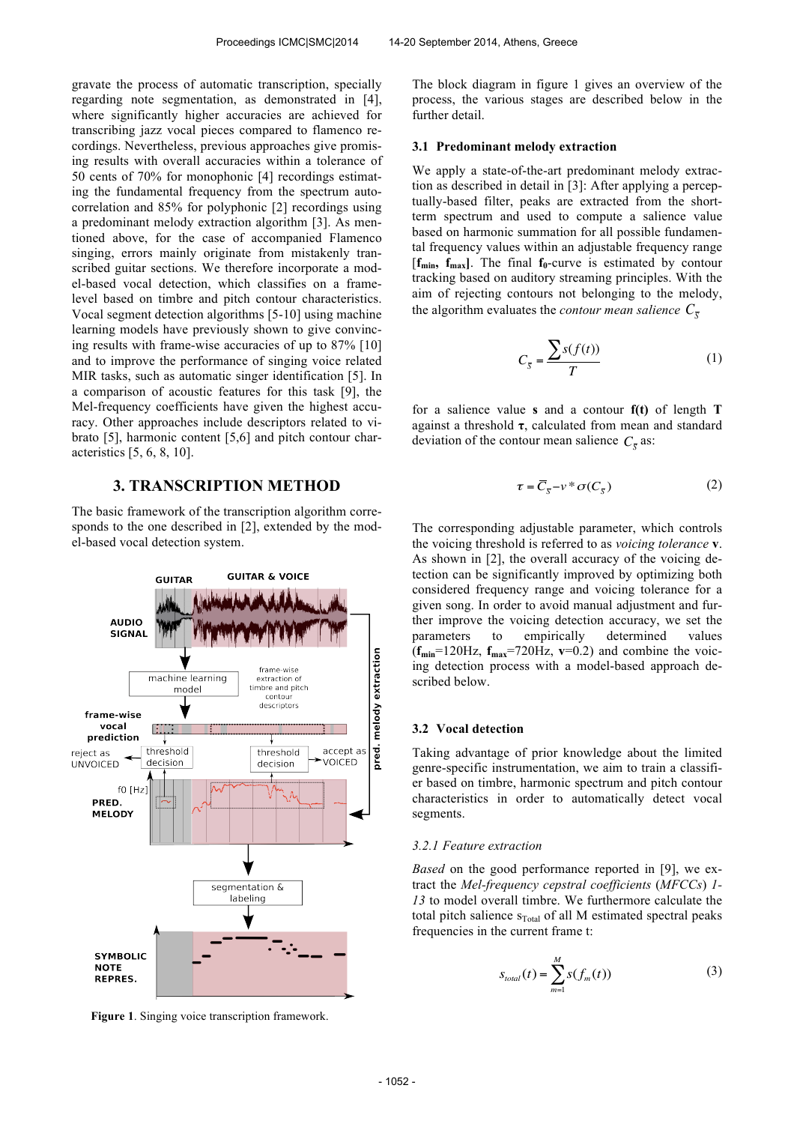gravate the process of automatic transcription, specially regarding note segmentation, as demonstrated in [4], where significantly higher accuracies are achieved for transcribing jazz vocal pieces compared to flamenco recordings. Nevertheless, previous approaches give promising results with overall accuracies within a tolerance of 50 cents of 70% for monophonic [4] recordings estimating the fundamental frequency from the spectrum autocorrelation and 85% for polyphonic [2] recordings using a predominant melody extraction algorithm [3]. As mentioned above, for the case of accompanied Flamenco singing, errors mainly originate from mistakenly transcribed guitar sections. We therefore incorporate a model-based vocal detection, which classifies on a framelevel based on timbre and pitch contour characteristics. Vocal segment detection algorithms [5-10] using machine learning models have previously shown to give convincing results with frame-wise accuracies of up to 87% [10] and to improve the performance of singing voice related MIR tasks, such as automatic singer identification [5]. In a comparison of acoustic features for this task [9], the Mel-frequency coefficients have given the highest accuracy. Other approaches include descriptors related to vibrato [5], harmonic content [5,6] and pitch contour characteristics [5, 6, 8, 10].

# **3. TRANSCRIPTION METHOD**

The basic framework of the transcription algorithm corresponds to the one described in [2], extended by the model-based vocal detection system.



**Figure 1**. Singing voice transcription framework.

The block diagram in figure 1 gives an overview of the process, the various stages are described below in the further detail.

### **3.1 Predominant melody extraction**

We apply a state-of-the-art predominant melody extraction as described in detail in [3]: After applying a perceptually-based filter, peaks are extracted from the shortterm spectrum and used to compute a salience value based on harmonic summation for all possible fundamental frequency values within an adjustable frequency range [**fmin, fmax]**. The final **f0**-curve is estimated by contour tracking based on auditory streaming principles. With the aim of rejecting contours not belonging to the melody, the algorithm evaluates the *contour mean salience*  $C_{\overline{s}}$ 

$$
C_{\overline{S}} = \frac{\sum s(f(t))}{T} \tag{1}
$$

for a salience value **s** and a contour **f(t)** of length **T** against a threshold **τ**, calculated from mean and standard deviation of the contour mean salience  $C_{\bar{s}}$  as:

$$
\tau = \overline{C}_{\overline{S}} - \nu^* \sigma(C_{\overline{S}})
$$
 (2)

The corresponding adjustable parameter, which controls the voicing threshold is referred to as *voicing tolerance* **v**. As shown in [2], the overall accuracy of the voicing detection can be significantly improved by optimizing both considered frequency range and voicing tolerance for a given song. In order to avoid manual adjustment and further improve the voicing detection accuracy, we set the parameters to empirically determined values  $(f_{\text{min}}=120\text{Hz}, f_{\text{max}}=720\text{Hz}, v=0.2)$  and combine the voicing detection process with a model-based approach described below.

# **3.2 Vocal detection**

Taking advantage of prior knowledge about the limited genre-specific instrumentation, we aim to train a classifier based on timbre, harmonic spectrum and pitch contour characteristics in order to automatically detect vocal segments.

### *3.2.1 Feature extraction*

*Based* on the good performance reported in [9], we extract the *Mel-frequency cepstral coefficients* (*MFCCs*) *1- 13* to model overall timbre. We furthermore calculate the total pitch salience  $s_{Total}$  of all M estimated spectral peaks frequencies in the current frame t:

$$
S_{total}(t) = \sum_{m=1}^{M} s(f_m(t))
$$
 (3)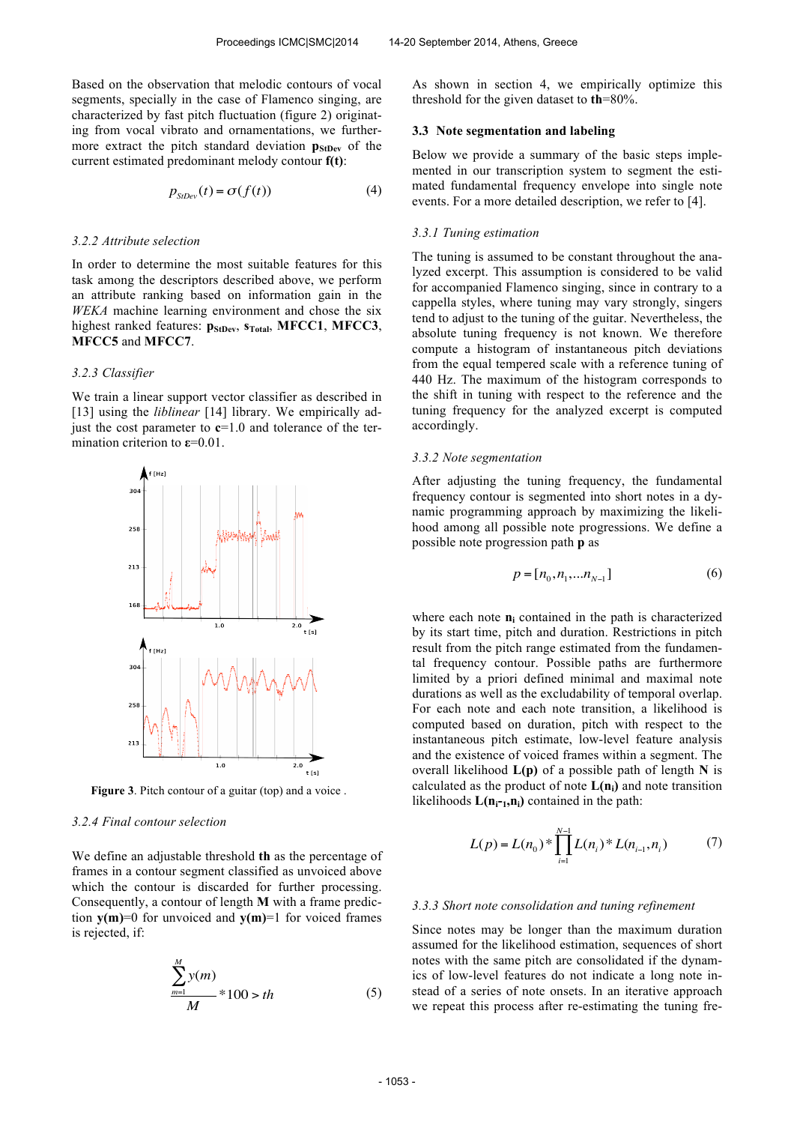Based on the observation that melodic contours of vocal segments, specially in the case of Flamenco singing, are characterized by fast pitch fluctuation (figure 2) originating from vocal vibrato and ornamentations, we furthermore extract the pitch standard deviation **p**<sub>StDev</sub> of the current estimated predominant melody contour **f(t)**:

$$
p_{\text{StDev}}(t) = \sigma(f(t))\tag{4}
$$

## *3.2.2 Attribute selection*

In order to determine the most suitable features for this task among the descriptors described above, we perform an attribute ranking based on information gain in the *WEKA* machine learning environment and chose the six highest ranked features: **pStDev**, **sTotal**, **MFCC1**, **MFCC3**, **MFCC5** and **MFCC7**.

## *3.2.3 Classifier*

We train a linear support vector classifier as described in [13] using the *liblinear* [14] library. We empirically adjust the cost parameter to **c**=1.0 and tolerance of the termination criterion to **ε**=0.01.



**Figure 3**. Pitch contour of a guitar (top) and a voice .

# *3.2.4 Final contour selection*

We define an adjustable threshold **th** as the percentage of frames in a contour segment classified as unvoiced above which the contour is discarded for further processing. Consequently, a contour of length **M** with a frame prediction  $\mathbf{v}(\mathbf{m})=0$  for unvoiced and  $\mathbf{v}(\mathbf{m})=1$  for voiced frames is rejected, if:

$$
\frac{\sum_{m=1}^{M} y(m)}{M} * 100 > th
$$
 (5)

As shown in section 4, we empirically optimize this threshold for the given dataset to **th**=80%.

### **3.3 Note segmentation and labeling**

Below we provide a summary of the basic steps implemented in our transcription system to segment the estimated fundamental frequency envelope into single note events. For a more detailed description, we refer to [4].

## *3.3.1 Tuning estimation*

The tuning is assumed to be constant throughout the analyzed excerpt. This assumption is considered to be valid for accompanied Flamenco singing, since in contrary to a cappella styles, where tuning may vary strongly, singers tend to adjust to the tuning of the guitar. Nevertheless, the absolute tuning frequency is not known. We therefore compute a histogram of instantaneous pitch deviations from the equal tempered scale with a reference tuning of 440 Hz. The maximum of the histogram corresponds to the shift in tuning with respect to the reference and the tuning frequency for the analyzed excerpt is computed accordingly.

### *3.3.2 Note segmentation*

After adjusting the tuning frequency, the fundamental frequency contour is segmented into short notes in a dynamic programming approach by maximizing the likelihood among all possible note progressions. We define a possible note progression path **p** as

$$
p = [n_0, n_1, \dots n_{N-1}] \tag{6}
$$

where each note **n<sup>i</sup>** contained in the path is characterized by its start time, pitch and duration. Restrictions in pitch result from the pitch range estimated from the fundamental frequency contour. Possible paths are furthermore limited by a priori defined minimal and maximal note durations as well as the excludability of temporal overlap. For each note and each note transition, a likelihood is computed based on duration, pitch with respect to the instantaneous pitch estimate, low-level feature analysis and the existence of voiced frames within a segment. The overall likelihood **L(p)** of a possible path of length **N** is calculated as the product of note  $L(n_i)$  and note transition likelihoods  $L(n_{i-1}, n_i)$  contained in the path:

$$
L(p) = L(n_0) * \prod_{i=1}^{N-1} L(n_i) * L(n_{i-1}, n_i)
$$
 (7)

#### *3.3.3 Short note consolidation and tuning refinement*

Since notes may be longer than the maximum duration assumed for the likelihood estimation, sequences of short notes with the same pitch are consolidated if the dynamics of low-level features do not indicate a long note instead of a series of note onsets. In an iterative approach we repeat this process after re-estimating the tuning fre-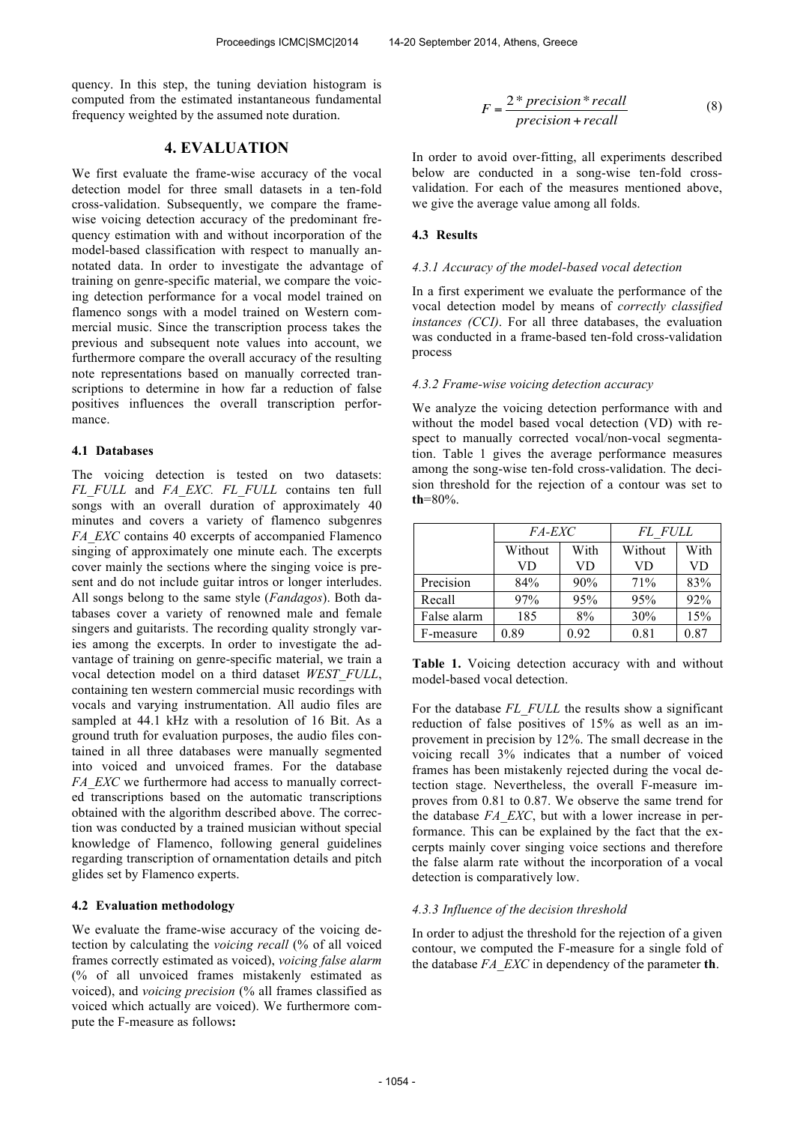quency. In this step, the tuning deviation histogram is computed from the estimated instantaneous fundamental frequency weighted by the assumed note duration.

# **4. EVALUATION**

We first evaluate the frame-wise accuracy of the vocal detection model for three small datasets in a ten-fold cross-validation. Subsequently, we compare the framewise voicing detection accuracy of the predominant frequency estimation with and without incorporation of the model-based classification with respect to manually annotated data. In order to investigate the advantage of training on genre-specific material, we compare the voicing detection performance for a vocal model trained on flamenco songs with a model trained on Western commercial music. Since the transcription process takes the previous and subsequent note values into account, we furthermore compare the overall accuracy of the resulting note representations based on manually corrected transcriptions to determine in how far a reduction of false positives influences the overall transcription performance.

# **4.1 Databases**

The voicing detection is tested on two datasets: *FL\_FULL* and *FA\_EXC. FL\_FULL* contains ten full songs with an overall duration of approximately 40 minutes and covers a variety of flamenco subgenres *FA\_EXC* contains 40 excerpts of accompanied Flamenco singing of approximately one minute each. The excerpts cover mainly the sections where the singing voice is present and do not include guitar intros or longer interludes. All songs belong to the same style (*Fandagos*). Both databases cover a variety of renowned male and female singers and guitarists. The recording quality strongly varies among the excerpts. In order to investigate the advantage of training on genre-specific material, we train a vocal detection model on a third dataset *WEST\_FULL*, containing ten western commercial music recordings with vocals and varying instrumentation. All audio files are sampled at 44.1 kHz with a resolution of 16 Bit. As a ground truth for evaluation purposes, the audio files contained in all three databases were manually segmented into voiced and unvoiced frames. For the database *FA\_EXC* we furthermore had access to manually corrected transcriptions based on the automatic transcriptions obtained with the algorithm described above. The correction was conducted by a trained musician without special knowledge of Flamenco, following general guidelines regarding transcription of ornamentation details and pitch glides set by Flamenco experts.

### **4.2 Evaluation methodology**

We evaluate the frame-wise accuracy of the voicing detection by calculating the *voicing recall* (% of all voiced frames correctly estimated as voiced), *voicing false alarm*  (% of all unvoiced frames mistakenly estimated as voiced), and *voicing precision* (% all frames classified as voiced which actually are voiced). We furthermore compute the F-measure as follows**:** 

$$
F = \frac{2 * precision * recall}{precision + recall}
$$
 (8)

In order to avoid over-fitting, all experiments described below are conducted in a song-wise ten-fold crossvalidation. For each of the measures mentioned above, we give the average value among all folds.

### **4.3 Results**

### *4.3.1 Accuracy of the model-based vocal detection*

In a first experiment we evaluate the performance of the vocal detection model by means of *correctly classified instances (CCI)*. For all three databases, the evaluation was conducted in a frame-based ten-fold cross-validation process

# *4.3.2 Frame-wise voicing detection accuracy*

We analyze the voicing detection performance with and without the model based vocal detection (VD) with respect to manually corrected vocal/non-vocal segmentation. Table 1 gives the average performance measures among the song-wise ten-fold cross-validation. The decision threshold for the rejection of a contour was set to **th**=80%.

|             | <i>FA-EXC</i> |      | FL FULL |      |
|-------------|---------------|------|---------|------|
|             | Without       | With | Without | With |
|             | VD            | VD   | VD      | VD   |
| Precision   | 84%           | 90%  | 71%     | 83%  |
| Recall      | 97%           | 95%  | 95%     | 92%  |
| False alarm | 185           | 8%   | 30%     | 15%  |
| F-measure   | 0.89          | 0.92 | 0.81    | 0.87 |

**Table 1.** Voicing detection accuracy with and without model-based vocal detection.

For the database *FL\_FULL* the results show a significant reduction of false positives of 15% as well as an improvement in precision by 12%. The small decrease in the voicing recall 3% indicates that a number of voiced frames has been mistakenly rejected during the vocal detection stage. Nevertheless, the overall F-measure improves from 0.81 to 0.87. We observe the same trend for the database *FA\_EXC*, but with a lower increase in performance. This can be explained by the fact that the excerpts mainly cover singing voice sections and therefore the false alarm rate without the incorporation of a vocal detection is comparatively low.

# *4.3.3 Influence of the decision threshold*

In order to adjust the threshold for the rejection of a given contour, we computed the F-measure for a single fold of the database *FA\_EXC* in dependency of the parameter **th**.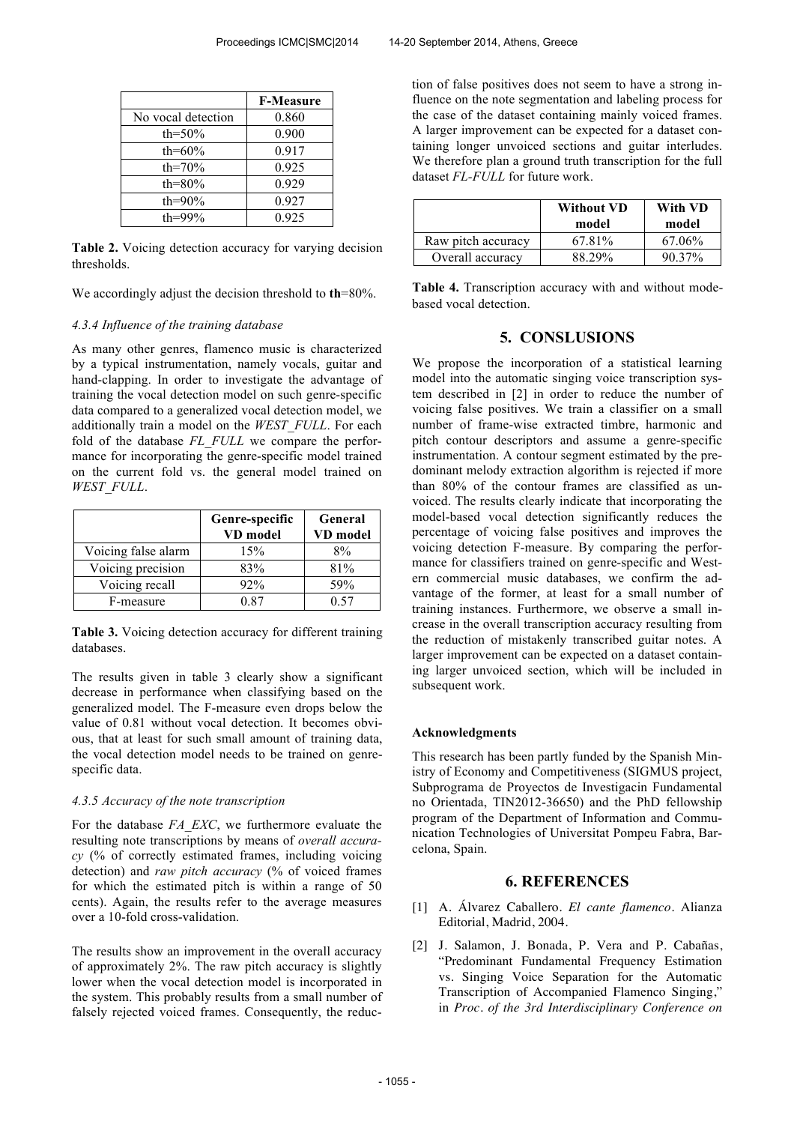|                    | <b>F-Measure</b> |
|--------------------|------------------|
| No vocal detection | 0.860            |
| th=50%             | 0.900            |
| th= $60\%$         | 0.917            |
| th= $70\%$         | 0.925            |
| th= $80\%$         | 0.929            |
| th= $90\%$         | 0.927            |
| th=99%             | 0.925            |

**Table 2.** Voicing detection accuracy for varying decision thresholds.

We accordingly adjust the decision threshold to **th**=80%.

# *4.3.4 Influence of the training database*

As many other genres, flamenco music is characterized by a typical instrumentation, namely vocals, guitar and hand-clapping. In order to investigate the advantage of training the vocal detection model on such genre-specific data compared to a generalized vocal detection model, we additionally train a model on the *WEST\_FULL*. For each fold of the database *FL\_FULL* we compare the performance for incorporating the genre-specific model trained on the current fold vs. the general model trained on *WEST\_FULL*.

|                     | Genre-specific<br>VD model | <b>General</b><br>VD model |
|---------------------|----------------------------|----------------------------|
| Voicing false alarm | 15%                        | 8%                         |
| Voicing precision   | 83%                        | 81%                        |
| Voicing recall      | 92%                        | 59%                        |
| F-measure           | በ ጸ7                       | 0.57                       |

**Table 3.** Voicing detection accuracy for different training databases.

The results given in table 3 clearly show a significant decrease in performance when classifying based on the generalized model. The F-measure even drops below the value of 0.81 without vocal detection. It becomes obvious, that at least for such small amount of training data, the vocal detection model needs to be trained on genrespecific data.

# *4.3.5 Accuracy of the note transcription*

For the database *FA\_EXC*, we furthermore evaluate the resulting note transcriptions by means of *overall accuracy* (% of correctly estimated frames, including voicing detection) and *raw pitch accuracy* (% of voiced frames for which the estimated pitch is within a range of 50 cents). Again, the results refer to the average measures over a 10-fold cross-validation.

The results show an improvement in the overall accuracy of approximately 2%. The raw pitch accuracy is slightly lower when the vocal detection model is incorporated in the system. This probably results from a small number of falsely rejected voiced frames. Consequently, the reduction of false positives does not seem to have a strong influence on the note segmentation and labeling process for the case of the dataset containing mainly voiced frames. A larger improvement can be expected for a dataset containing longer unvoiced sections and guitar interludes. We therefore plan a ground truth transcription for the full dataset *FL-FULL* for future work.

|                    | <b>Without VD</b><br>model | With VD<br>model |
|--------------------|----------------------------|------------------|
| Raw pitch accuracy | 67.81%                     | 67.06%           |
| Overall accuracy   | 88.29%                     | $90.37\%$        |

**Table 4.** Transcription accuracy with and without modebased vocal detection.

# **5. CONSLUSIONS**

We propose the incorporation of a statistical learning model into the automatic singing voice transcription system described in [2] in order to reduce the number of voicing false positives. We train a classifier on a small number of frame-wise extracted timbre, harmonic and pitch contour descriptors and assume a genre-specific instrumentation. A contour segment estimated by the predominant melody extraction algorithm is rejected if more than 80% of the contour frames are classified as unvoiced. The results clearly indicate that incorporating the model-based vocal detection significantly reduces the percentage of voicing false positives and improves the voicing detection F-measure. By comparing the performance for classifiers trained on genre-specific and Western commercial music databases, we confirm the advantage of the former, at least for a small number of training instances. Furthermore, we observe a small increase in the overall transcription accuracy resulting from the reduction of mistakenly transcribed guitar notes. A larger improvement can be expected on a dataset containing larger unvoiced section, which will be included in subsequent work.

# **Acknowledgments**

This research has been partly funded by the Spanish Ministry of Economy and Competitiveness (SIGMUS project, Subprograma de Proyectos de Investigacin Fundamental no Orientada, TIN2012-36650) and the PhD fellowship program of the Department of Information and Communication Technologies of Universitat Pompeu Fabra, Barcelona, Spain.

# **6. REFERENCES**

- [1] A. Álvarez Caballero. *El cante flamenco*. Alianza Editorial, Madrid, 2004.
- [2] J. Salamon, J. Bonada, P. Vera and P. Cabañas, "Predominant Fundamental Frequency Estimation vs. Singing Voice Separation for the Automatic Transcription of Accompanied Flamenco Singing," in *Proc. of the 3rd Interdisciplinary Conference on*